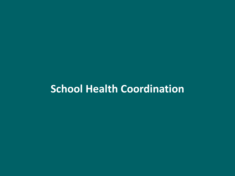# **School Health Coordination**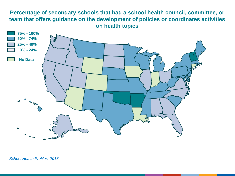# **Percentage of secondary schools that had a school health council, committee, or team that offers guidance on the development of policies or coordinates activities on health topics**

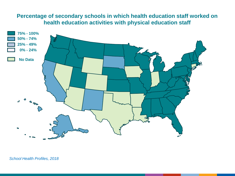# **Percentage of secondary schools in which health education staff worked on health education activities with physical education staff**

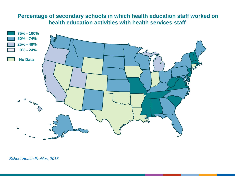## **Percentage of secondary schools in which health education staff worked on health education activities with health services staff**

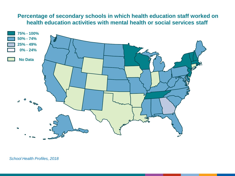## **Percentage of secondary schools in which health education staff worked on health education activities with mental health or social services staff**

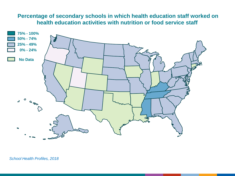## **Percentage of secondary schools in which health education staff worked on health education activities with nutrition or food service staff**